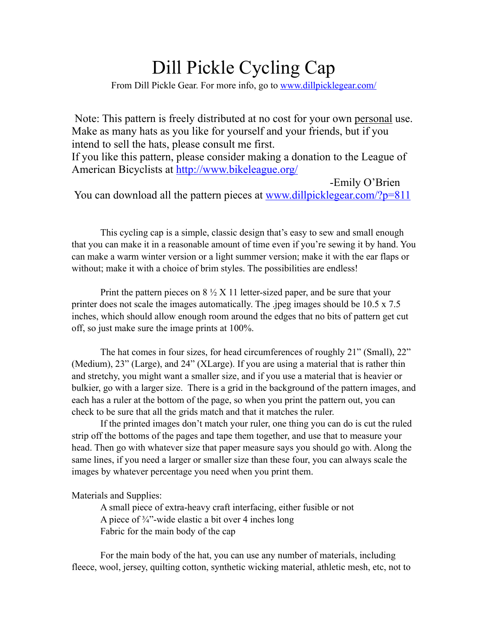# Dill Pickle Cycling Cap

From Dill Pickle Gear. For more info, go to [www.dillpicklegear.com/](http://www.dillpicklegear.com/)

Note: This pattern is freely distributed at no cost for your own personal use. Make as many hats as you like for yourself and your friends, but if you intend to sell the hats, please consult me first.

If you like this pattern, please consider making a donation to the League of American Bicyclists at<http://www.bikeleague.org/>

-Emily O'Brien You can download all the pattern pieces at [www.dillpicklegear.com/?p=811](http://www.dillpicklegear.com/?p=811)

This cycling cap is a simple, classic design that's easy to sew and small enough that you can make it in a reasonable amount of time even if you're sewing it by hand. You can make a warm winter version or a light summer version; make it with the ear flaps or without; make it with a choice of brim styles. The possibilities are endless!

Print the pattern pieces on  $8 \frac{1}{2}$  X 11 letter-sized paper, and be sure that your printer does not scale the images automatically. The .jpeg images should be 10.5 x 7.5 inches, which should allow enough room around the edges that no bits of pattern get cut off, so just make sure the image prints at 100%.

The hat comes in four sizes, for head circumferences of roughly 21" (Small), 22" (Medium), 23" (Large), and 24" (XLarge). If you are using a material that is rather thin and stretchy, you might want a smaller size, and if you use a material that is heavier or bulkier, go with a larger size. There is a grid in the background of the pattern images, and each has a ruler at the bottom of the page, so when you print the pattern out, you can check to be sure that all the grids match and that it matches the ruler.

If the printed images don't match your ruler, one thing you can do is cut the ruled strip off the bottoms of the pages and tape them together, and use that to measure your head. Then go with whatever size that paper measure says you should go with. Along the same lines, if you need a larger or smaller size than these four, you can always scale the images by whatever percentage you need when you print them.

Materials and Supplies:

A small piece of extra-heavy craft interfacing, either fusible or not A piece of  $\frac{3}{4}$  -wide elastic a bit over 4 inches long Fabric for the main body of the cap

For the main body of the hat, you can use any number of materials, including fleece, wool, jersey, quilting cotton, synthetic wicking material, athletic mesh, etc, not to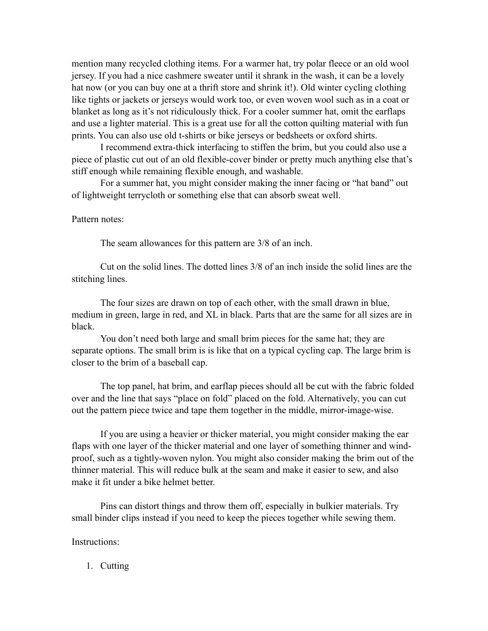mention many recycled clothing items. For a warmer hat, try polar fleece or an old wool jersey. If you had a nice cashmere sweater until it shrank in the wash, it can be a lovely hat now (or you can buy one at a thrift store and shrink it!). Old winter cycling clothing like tights or jackets or jerseys would work too, or even woven wool such as in a coat or blanket as long as it's not ridiculously thick. For a cooler summer hat, omit the earflaps and use a lighter material. This is a great use for all the cotton quilting material with fun prints. You can also use old t-shirts or bike jerseys or bedsheets or oxford shirts.

I recommend extra-thick interfacing to stiffen the brim, but you could also use a piece of plastic cut out of an old flexible-cover binder or pretty much anything else that's stiff enough while remaining flexible enough, and washable.

For a summer hat, you might consider making the inner facing or "hat band" out of lightweight terrycloth or something else that can absorb sweat well.

#### Pattern notes:

The seam allowances for this pattern are 3/8 of an inch.

Cut on the solid lines. The dotted lines 3/8 of an inch inside the solid lines are the stitching lines.

The four sizes are drawn on top of each other, with the small drawn in blue, medium in green, large in red, and XL in black. Parts that are the same for all sizes are in black.

You don't need both large and small brim pieces for the same hat; they are separate options. The small brim is is like that on a typical cycling cap. The large brim is closer to the brim of a baseball cap.

The top panel, hat brim, and earflap pieces should all be cut with the fabric folded over and the line that says "place on fold" placed on the fold. Alternatively, you can cut out the pattern piece twice and tape them together in the middle, mirror-image-wise.

If you are using a heavier or thicker material, you might consider making the ear flaps with one layer of the thicker material and one layer of something thinner and windproof, such as a tightly-woven nylon. You might also consider making the brim out of the thinner material. This will reduce bulk at the seam and make it easier to sew, and also make it fit under a bike helmet better.

Pins can distort things and throw them off, especially in bulkier materials. Try small binder clips instead if you need to keep the pieces together while sewing them.

Instructions:

1. Cutting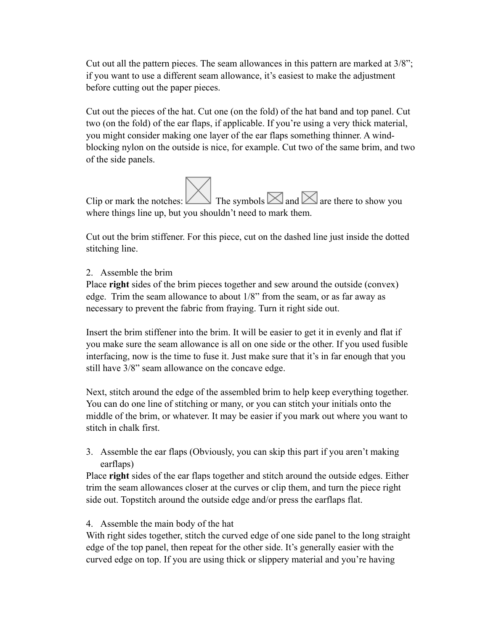Cut out all the pattern pieces. The seam allowances in this pattern are marked at 3/8"; if you want to use a different seam allowance, it's easiest to make the adjustment before cutting out the paper pieces.

Cut out the pieces of the hat. Cut one (on the fold) of the hat band and top panel. Cut two (on the fold) of the ear flaps, if applicable. If you're using a very thick material, you might consider making one layer of the ear flaps something thinner. A windblocking nylon on the outside is nice, for example. Cut two of the same brim, and two of the side panels.

Clip or mark the notches: The symbols  $\boxtimes$  and  $\boxtimes$  are there to show you where things line up, but you shouldn't need to mark them.

Cut out the brim stiffener. For this piece, cut on the dashed line just inside the dotted stitching line.

2. Assemble the brim

Place **right** sides of the brim pieces together and sew around the outside (convex) edge. Trim the seam allowance to about 1/8" from the seam, or as far away as necessary to prevent the fabric from fraying. Turn it right side out.

Insert the brim stiffener into the brim. It will be easier to get it in evenly and flat if you make sure the seam allowance is all on one side or the other. If you used fusible interfacing, now is the time to fuse it. Just make sure that it's in far enough that you still have 3/8" seam allowance on the concave edge.

Next, stitch around the edge of the assembled brim to help keep everything together. You can do one line of stitching or many, or you can stitch your initials onto the middle of the brim, or whatever. It may be easier if you mark out where you want to stitch in chalk first.

3. Assemble the ear flaps (Obviously, you can skip this part if you aren't making earflaps)

Place **right** sides of the ear flaps together and stitch around the outside edges. Either trim the seam allowances closer at the curves or clip them, and turn the piece right side out. Topstitch around the outside edge and/or press the earflaps flat.

4. Assemble the main body of the hat

With right sides together, stitch the curved edge of one side panel to the long straight edge of the top panel, then repeat for the other side. It's generally easier with the curved edge on top. If you are using thick or slippery material and you're having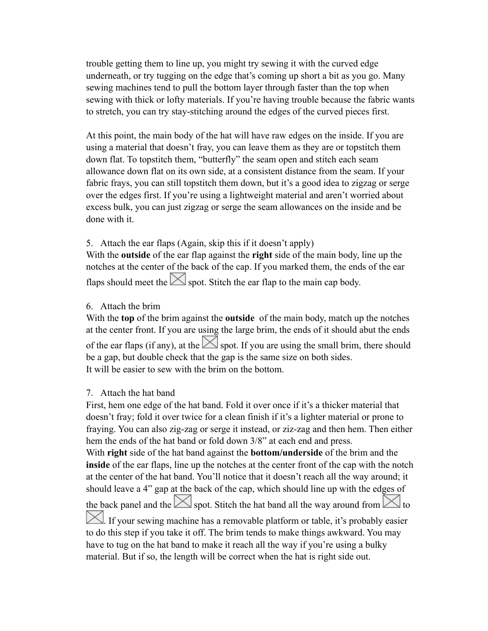trouble getting them to line up, you might try sewing it with the curved edge underneath, or try tugging on the edge that's coming up short a bit as you go. Many sewing machines tend to pull the bottom layer through faster than the top when sewing with thick or lofty materials. If you're having trouble because the fabric wants to stretch, you can try stay-stitching around the edges of the curved pieces first.

At this point, the main body of the hat will have raw edges on the inside. If you are using a material that doesn't fray, you can leave them as they are or topstitch them down flat. To topstitch them, "butterfly" the seam open and stitch each seam allowance down flat on its own side, at a consistent distance from the seam. If your fabric frays, you can still topstitch them down, but it's a good idea to zigzag or serge over the edges first. If you're using a lightweight material and aren't worried about excess bulk, you can just zigzag or serge the seam allowances on the inside and be done with it.

# 5. Attach the ear flaps (Again, skip this if it doesn't apply)

With the **outside** of the ear flap against the **right** side of the main body, line up the notches at the center of the back of the cap. If you marked them, the ends of the ear flaps should meet the  $\boxtimes$  spot. Stitch the ear flap to the main cap body.

#### 6. Attach the brim

With the **top** of the brim against the **outside** of the main body, match up the notches at the center front. If you are using the large brim, the ends of it should abut the ends of the ear flaps (if any), at the  $\leq$  spot. If you are using the small brim, there should be a gap, but double check that the gap is the same size on both sides. It will be easier to sew with the brim on the bottom.

# 7. Attach the hat band

First, hem one edge of the hat band. Fold it over once if it's a thicker material that doesn't fray; fold it over twice for a clean finish if it's a lighter material or prone to fraying. You can also zig-zag or serge it instead, or ziz-zag and then hem. Then either hem the ends of the hat band or fold down 3/8" at each end and press.

With **right** side of the hat band against the **bottom/underside** of the brim and the **inside** of the ear flaps, line up the notches at the center front of the cap with the notch at the center of the hat band. You'll notice that it doesn't reach all the way around; it should leave a 4" gap at the back of the cap, which should line up with the edges of the back panel and the  $\leq$  spot. Stitch the hat band all the way around from  $\leq$  to If your sewing machine has a removable platform or table, it's probably easier

to do this step if you take it off. The brim tends to make things awkward. You may have to tug on the hat band to make it reach all the way if you're using a bulky material. But if so, the length will be correct when the hat is right side out.